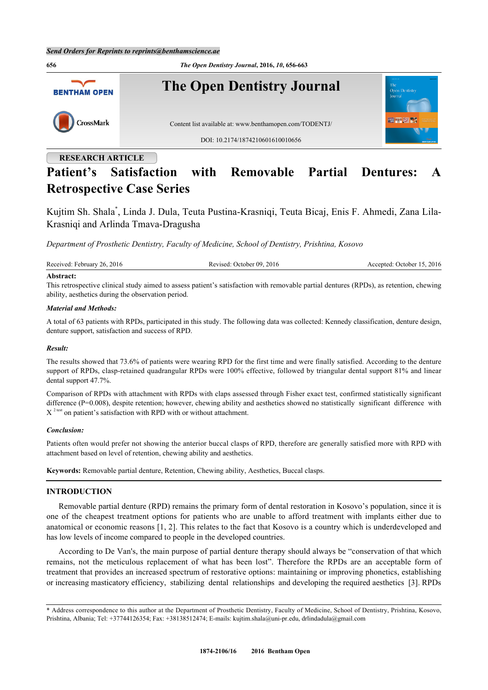**656** *The Open Dentistry Journal***, 2016,** *10***, 656-663 The Open Dentistry Journal BENTHAM OPEN** CrossMark Content list available at: [www.benthamopen.com/TODENTJ/](http://www.benthamopen.com/TODENTJ/) DOI: [10.2174/1874210601610010656](http://dx.doi.org/10.2174/1874210601610010656) **RESEARCH ARTICLE**

# **Patient's Satisfaction with Removable Partial Dentures: A Retrospective Case Series**

Kujtim Sh. Shala[\\*](#page-0-0) , Linda J. Dula, Teuta Pustina-Krasniqi, Teuta Bicaj, Enis F. Ahmedi, Zana Lila-Krasniqi and Arlinda Tmava-Dragusha

*Department of Prosthetic Dentistry, Faculty of Medicine, School of Dentistry, Prishtina, Kosovo*

| Received: February 26, 2016 | Revised: October 09, 2016 | Accepted: October 15, 2016 |
|-----------------------------|---------------------------|----------------------------|
| $\cdots$                    |                           |                            |

#### **Abstract:**

This retrospective clinical study aimed to assess patient's satisfaction with removable partial dentures (RPDs), as retention, chewing ability, aesthetics during the observation period.

#### *Material and Methods:*

A total of 63 patients with RPDs, participated in this study. The following data was collected: Kennedy classification, denture design, denture support, satisfaction and success of RPD.

#### *Result:*

The results showed that 73.6% of patients were wearing RPD for the first time and were finally satisfied. According to the denture support of RPDs, clasp-retained quadrangular RPDs were 100% effective, followed by triangular dental support 81% and linear dental support 47.7%.

Comparison of RPDs with attachment with RPDs with claps assessed through Fisher exact test, confirmed statistically significant difference (P=0.008), despite retention; however, chewing ability and aesthetics showed no statistically significant difference with  $X<sup>2 test</sup>$  on patient's satisfaction with RPD with or without attachment.

#### *Conclusion:*

Patients often would prefer not showing the anterior buccal clasps of RPD, therefore are generally satisfied more with RPD with attachment based on level of retention, chewing ability and aesthetics.

**Keywords:** Removable partial denture, Retention, Chewing ability, Aesthetics, Buccal clasps.

#### **INTRODUCTION**

Removable partial denture (RPD) remains the primary form of dental restoration in Kosovo's population, since it is one of the cheapest treatment options for patients who are unable to afford treatment with implants either due to anatomical or economic reasons [\[1](#page-5-0), [2\]](#page-5-1). This relates to the fact that Kosovo is a country which is underdeveloped and has low levels of income compared to people in the developed countries.

According to De Van's, the main purpose of partial denture therapy should always be "conservation of that which remains, not the meticulous replacement of what has been lost". Therefore the RPDs are an acceptable form of treatment that provides an increased spectrum of restorative options: maintaining or improving phonetics, establishing or increasing masticatory efficiency, stabilizing dental relationships and developing the required aesthetics [[3\]](#page-5-2). RPDs

<span id="page-0-0"></span><sup>\*</sup> Address correspondence to this author at the Department of Prosthetic Dentistry, Faculty of Medicine, School of Dentistry, Prishtina, Kosovo, Prishtina, Albania; Tel: +37744126354; Fax: +38138512474; E-mails: [kujtim.shala@uni-pr.edu](mailto:kujtim.shala@uni-pr.edu), [drlindadula@gmail.com](mailto:drlindadula@gmail.com)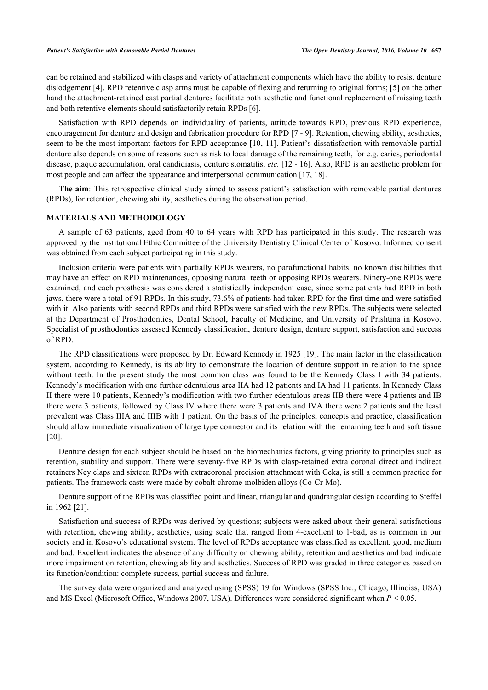can be retained and stabilized with clasps and variety of attachment components which have the ability to resist denture dislodgement [[4\]](#page-5-3). RPD retentive clasp arms must be capable of flexing and returning to original forms; [\[5](#page-5-4)] on the other hand the attachment-retained cast partial dentures facilitate both aesthetic and functional replacement of missing teeth and both retentive elements should satisfactorily retain RPDs [\[6](#page-5-5)].

Satisfaction with RPD depends on individuality of patients, attitude towards RPD, previous RPD experience, encouragement for denture and design and fabrication procedure for RPD [[7](#page-5-6) - [9](#page-5-7)]. Retention, chewing ability, aesthetics, seem to be the most important factors for RPD acceptance [[10](#page-5-8), [11](#page-5-9)]. Patient's dissatisfaction with removable partial denture also depends on some of reasons such as risk to local damage of the remaining teeth, for e.g. caries, periodontal disease, plaque accumulation, oral candidiasis, denture stomatitis, *etc.* [[12](#page-5-10) - [16\]](#page-6-0). Also, RPD is an aesthetic problem for most people and can affect the appearance and interpersonal communication [\[17](#page-6-1), [18](#page-6-2)].

**The aim**: This retrospective clinical study aimed to assess patient's satisfaction with removable partial dentures (RPDs), for retention, chewing ability, aesthetics during the observation period.

### **MATERIALS AND METHODOLOGY**

A sample of 63 patients, aged from 40 to 64 years with RPD has participated in this study. The research was approved by the Institutional Ethic Committee of the University Dentistry Clinical Center of Kosovo. Informed consent was obtained from each subject participating in this study.

Inclusion criteria were patients with partially RPDs wearers, no parafunctional habits, no known disabilities that may have an effect on RPD maintenances, opposing natural teeth or opposing RPDs wearers. Ninety-one RPDs were examined, and each prosthesis was considered a statistically independent case, since some patients had RPD in both jaws, there were a total of 91 RPDs. In this study, 73.6% of patients had taken RPD for the first time and were satisfied with it. Also patients with second RPDs and third RPDs were satisfied with the new RPDs. The subjects were selected at the Department of Prosthodontics, Dental School, Faculty of Medicine, and University of Prishtina in Kosovo. Specialist of prosthodontics assessed Kennedy classification, denture design, denture support, satisfaction and success of RPD.

The RPD classifications were proposed by Dr. Edward Kennedy in 1925 [\[19](#page-6-3)]. The main factor in the classification system, according to Kennedy, is its ability to demonstrate the location of denture support in relation to the space without teeth. In the present study the most common class was found to be the Kennedy Class I with 34 patients. Kennedy's modification with one further edentulous area IIA had 12 patients and IA had 11 patients. In Kennedy Class II there were 10 patients, Kennedy's modification with two further edentulous areas IIB there were 4 patients and IB there were 3 patients, followed by Class IV where there were 3 patients and IVA there were 2 patients and the least prevalent was Class IIIA and IIIB with 1 patient. On the basis of the principles, concepts and practice, classification should allow immediate visualization of large type connector and its relation with the remaining teeth and soft tissue [\[20](#page-6-4)].

Denture design for each subject should be based on the biomechanics factors, giving priority to principles such as retention, stability and support. There were seventy-five RPDs with clasp-retained extra coronal direct and indirect retainers Ney claps and sixteen RPDs with extracoronal precision attachment with Ceka, is still a common practice for patients. The framework casts were made by cobalt-chrome-molbiden alloys (Co-Cr-Mo).

Denture support of the RPDs was classified point and linear, triangular and quadrangular design according to Steffel in 1962 [[21\]](#page-6-5).

Satisfaction and success of RPDs was derived by questions; subjects were asked about their general satisfactions with retention, chewing ability, aesthetics, using scale that ranged from 4-excellent to 1-bad, as is common in our society and in Kosovo's educational system. The level of RPDs acceptance was classified as excellent, good, medium and bad. Excellent indicates the absence of any difficulty on chewing ability, retention and aesthetics and bad indicate more impairment on retention, chewing ability and aesthetics. Success of RPD was graded in three categories based on its function/condition: complete success, partial success and failure.

The survey data were organized and analyzed using (SPSS) 19 for Windows (SPSS Inc., Chicago, Illinoiss, USA) and MS Excel (Microsoft Office, Windows 2007, USA). Differences were considered significant when *P* < 0.05.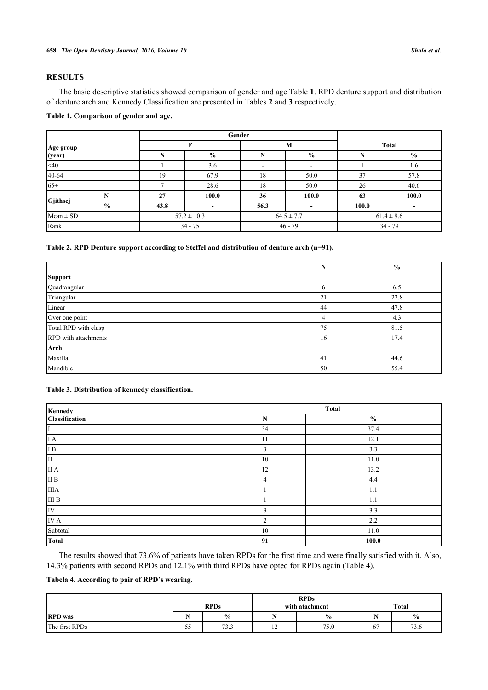# **RESULTS**

The basic descriptive statistics showed comparison of gender and age Table **[1](#page-2-0)**. RPD denture support and distribution of denture arch and Kennedy Classification are presented in Tables **[2](#page-2-1)** and **[3](#page-2-2)** respectively.

#### <span id="page-2-0"></span>**Table 1. Comparison of gender and age.**

|                     |               |      | Gender                   |      |                |       |                |  |
|---------------------|---------------|------|--------------------------|------|----------------|-------|----------------|--|
| Age group<br>(year) |               |      |                          |      | M              |       | <b>Total</b>   |  |
|                     |               | N    | $\frac{6}{9}$            | N    | $\frac{6}{6}$  |       | $\frac{0}{0}$  |  |
| $<$ 40              |               |      | 3.6                      | ۰    |                |       | 1.6            |  |
| 40-64               |               | 19   | 67.9                     | 18   | 50.0           | 37    | 57.8           |  |
| $65+$               |               |      | 28.6                     | 18   | 50.0           | 26    | 40.6           |  |
|                     |               | 27   | 100.0                    | 36   | 100.0          | 63    | 100.0          |  |
| Gjithsej            | $\frac{0}{0}$ | 43.8 | $\overline{\phantom{0}}$ | 56.3 |                | 100.0 |                |  |
| $Mean \pm SD$       |               |      | $57.2 \pm 10.3$          |      | $64.5 \pm 7.7$ |       | $61.4 \pm 9.6$ |  |
| Rank                |               |      | $34 - 75$                |      | $46 - 79$      |       | $34 - 79$      |  |

# <span id="page-2-1"></span>**Table 2. RPD Denture support according to Steffel and distribution of denture arch (n=91).**

|                             | N              | $\frac{0}{0}$ |  |  |  |  |  |
|-----------------------------|----------------|---------------|--|--|--|--|--|
| Support                     |                |               |  |  |  |  |  |
| Quadrangular                | 6              | 6.5           |  |  |  |  |  |
| Triangular                  | 21             | 22.8          |  |  |  |  |  |
| Linear                      | 44             | 47.8          |  |  |  |  |  |
| Over one point              | $\overline{4}$ | 4.3           |  |  |  |  |  |
| Total RPD with clasp        | 75             | 81.5          |  |  |  |  |  |
| <b>RPD</b> with attachments | 16             | 17.4          |  |  |  |  |  |
| Arch                        |                |               |  |  |  |  |  |
| Maxilla                     | 41             | 44.6          |  |  |  |  |  |
| Mandible                    | 50             | 55.4          |  |  |  |  |  |

# <span id="page-2-2"></span>**Table 3. Distribution of kennedy classification.**

| Kennedy                                                         | <b>Total</b> |               |  |  |  |
|-----------------------------------------------------------------|--------------|---------------|--|--|--|
| <b>Classification</b>                                           | $\mathbf N$  | $\frac{0}{0}$ |  |  |  |
| I                                                               | 34           | 37.4          |  |  |  |
| $I\overline{A}$                                                 | 11           | 12.1          |  |  |  |
| I B                                                             | 3            | 3.3           |  |  |  |
| II                                                              | 10           | 11.0          |  |  |  |
| $\rm II$ A                                                      | 12           | 13.2          |  |  |  |
| $\overline{\rm I\hspace{-.1em}I\hspace{-.1em}I\hspace{-.1em}B}$ | 4            | 4.4           |  |  |  |
| <b>IIIA</b>                                                     |              | 1.1           |  |  |  |
| III B                                                           |              | 1.1           |  |  |  |
| IV                                                              | 3            | 3.3           |  |  |  |
| IV A                                                            | 2            | 2.2           |  |  |  |
| Subtotal                                                        | 10           | 11.0          |  |  |  |
| <b>Total</b>                                                    | 91           | 100.0         |  |  |  |

The results showed that 73.6% of patients have taken RPDs for the first time and were finally satisfied with it. Also, 14.3% patients with second RPDs and 12.1% with third RPDs have opted for RPDs again (Table **[4](#page-2-3)**).

<span id="page-2-3"></span>**Tabela 4. According to pair of RPD's wearing.**

|                | <b>RPDs</b> |               |                | <b>RPDs</b><br>with atachment | Total |               |
|----------------|-------------|---------------|----------------|-------------------------------|-------|---------------|
| <b>RPD</b> was |             | $\frac{0}{0}$ |                | $\%$                          | - -   | $\frac{6}{9}$ |
| The first RPDs | - -<br>ັ້   | 73.3          | $\overline{1}$ | 75.0                          | 67    | 73.6          |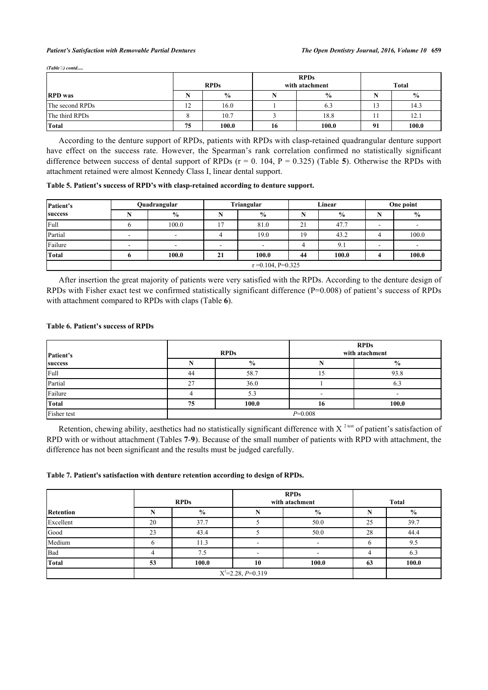#### *Patient's Satisfaction with Removable Partial Dentures The Open Dentistry Journal, 2016, Volume 10* **659**

*(Table 6) contd.* 

|                 | <b>RPDs</b>                   |               |    | <b>RPDs</b><br>with atachment | Total |               |
|-----------------|-------------------------------|---------------|----|-------------------------------|-------|---------------|
| <b>RPD</b> was  |                               | $\frac{0}{0}$ |    | $\frac{0}{0}$                 |       | $\frac{0}{0}$ |
| The second RPDs | $1^{\circ}$<br>$\overline{1}$ | 16.0          |    | 6.3                           | 13    | 14.3          |
| The third RPDs  |                               | 10.7          |    | 18.8                          | 11    | 12.1          |
| Total           | 75                            | 100.0         | 16 | 100.0                         | 91    | 100.0         |

According to the denture support of RPDs, patients with RPDs with clasp-retained quadrangular denture support have effect on the success rate. However, the Spearman's rank correlation confirmed no statistically significant difference between success of dental support of RPDs (r = 0. 104, P = 0.325) (Table **[5](#page-3-0)**). Otherwise the RPDs with attachment retained were almost Kennedy Class I, linear dental support.

<span id="page-3-0"></span>**Table 5. Patient's success of RPD's with clasp-retained according to denture support.**

| Patient's | Quadrangular |                       |    | Triangular               |    | Linear        |   | One point                |  |
|-----------|--------------|-----------------------|----|--------------------------|----|---------------|---|--------------------------|--|
| success   |              | $\frac{6}{9}$         |    | $\%$                     |    | $\frac{6}{9}$ |   | $\frac{0}{0}$            |  |
| Full      |              | 100.0                 |    | 81.0                     | 21 | 47.7          |   |                          |  |
| Partial   |              |                       |    | 19.0                     | 19 | 43.2          |   | 100.0                    |  |
| Failure   |              | $\blacksquare$        | -  | $\overline{\phantom{0}}$ |    | 9.1           | - | $\overline{\phantom{a}}$ |  |
| Total     |              | 100.0                 | 21 | 100.0                    | 44 | 100.0         |   | 100.0                    |  |
|           |              | $r = 0.104$ , P=0.325 |    |                          |    |               |   |                          |  |

After insertion the great majority of patients were very satisfied with the RPDs. According to the denture design of RPDs with Fisher exact test we confirmed statistically significant difference (P=0.008) of patient's success of RPDs with attachment compared to RPDs with claps (Table **[6](#page-3-1)**).

#### <span id="page-3-1"></span>**Table 6. Patient's success of RPDs**

| Patient's   |           | <b>RPDs</b>   | <b>RPDs</b><br>with atachment |               |  |
|-------------|-----------|---------------|-------------------------------|---------------|--|
| success     |           | $\frac{0}{0}$ |                               | $\frac{6}{6}$ |  |
| Full        | 44        | 58.7          |                               | 93.8          |  |
| Partial     | 27        | 36.0          |                               | 6.3           |  |
| Failure     |           | 5.3           |                               |               |  |
| Total       | 75        | 100.0         | 16                            | 100.0         |  |
| Fisher test | $P=0.008$ |               |                               |               |  |

Retention, chewing ability, aesthetics had no statistically significant difference with X<sup>2 test</sup> of patient's satisfaction of RPD with or without attachment (Tables **[7](#page-3-2)**-**[9](#page-4-0)**). Because of the small number of patients with RPD with attachment, the difference has not been significant and the results must be judged carefully.

#### <span id="page-3-2"></span>**Table 7. Patient's satisfaction with denture retention according to design of RPDs.**

|                  | <b>RPDs</b><br><b>RPDs</b><br>with atachment |                     |    | <b>Total</b>  |    |               |
|------------------|----------------------------------------------|---------------------|----|---------------|----|---------------|
| <b>Retention</b> |                                              | $\frac{0}{0}$       |    | $\frac{0}{0}$ |    | $\frac{0}{0}$ |
| Excellent        | 20                                           | 37.7                |    | 50.0          | 25 | 39.7          |
| Good             | 23                                           | 43.4                |    | 50.0          | 28 | 44.4          |
| Medium           |                                              | 11.3                |    | -             |    | 9.5           |
| Bad              |                                              | 7.5                 |    |               |    | 6.3           |
| <b>Total</b>     | 53                                           | 100.0               | 10 | 100.0         | 63 | 100.0         |
|                  |                                              | $X^2=2.28, P=0.319$ |    |               |    |               |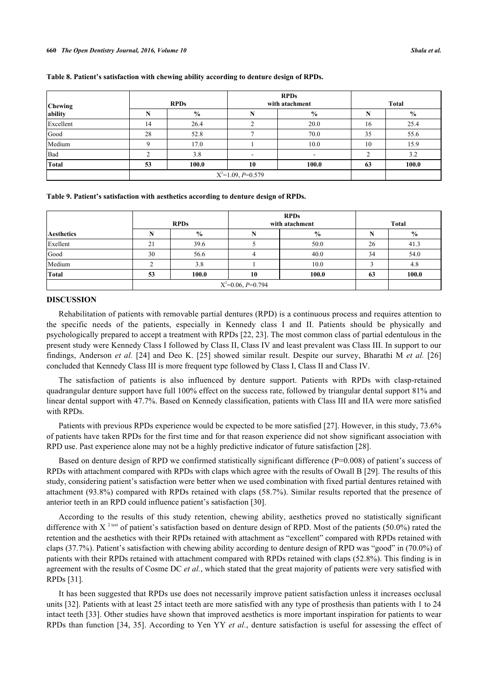| Chewing      | <b>RPDs</b>         |               |    | <b>RPDs</b><br>with atachment | <b>Total</b> |               |
|--------------|---------------------|---------------|----|-------------------------------|--------------|---------------|
| ability      |                     | $\frac{0}{0}$ |    | $\frac{0}{0}$                 |              | $\frac{0}{0}$ |
| Excellent    | 14                  | 26.4          |    | 20.0                          | 16           | 25.4          |
| Good         | 28                  | 52.8          |    | 70.0                          | 35           | 55.6          |
| Medium       |                     | 17.0          |    | 10.0                          | 10           | 15.9          |
| Bad          |                     | 3.8           |    |                               |              | 3.2           |
| <b>Total</b> | 53                  | 100.0         | 10 | 100.0                         | 63           | 100.0         |
|              | $X^2=1.09, P=0.579$ |               |    |                               |              |               |

#### **Table 8. Patient's satisfaction with chewing ability according to denture design of RPDs.**

<span id="page-4-0"></span>**Table 9. Patient's satisfaction with aesthetics according to denture design of RPDs.**

|                   |                   | <b>RPDs</b>         | <b>RPDs</b><br>with atachment |               | <b>Total</b> |       |
|-------------------|-------------------|---------------------|-------------------------------|---------------|--------------|-------|
| <b>Aesthetics</b> |                   | $\frac{0}{0}$       |                               | $\frac{6}{6}$ | N            | $\%$  |
| Exellent          | $\mathbf{\Omega}$ | 39.6                |                               | 50.0          | 26           | 41.3  |
| Good              | 30                | 56.6                |                               | 40.0          | 34           | 54.0  |
| Medium            |                   | 3.8                 |                               | 10.0          |              | 4.8   |
| Total             | 53                | 100.0               | 10                            | 100.0         | 63           | 100.0 |
|                   |                   | $X^2=0.06, P=0.794$ |                               |               |              |       |

# **DISCUSSION**

Rehabilitation of patients with removable partial dentures (RPD) is a continuous process and requires attention to the specific needs of the patients, especially in Kennedy class I and II. Patients should be physically and psychologically prepared to accept a treatment with RPDs [[22,](#page-6-6) [23\]](#page-6-7). The most common class of partial edentulous in the present study were Kennedy Class I followed by Class II, Class IV and least prevalent was Class III. In support to our findings, Anderson *et al.* [\[24\]](#page-6-8) and Deo K.[[25\]](#page-6-9) showed similar result. Despite our survey, Bharathi M *et al.* [[26](#page-6-10)] concluded that Kennedy Class III is more frequent type followed by Class I, Class II and Class IV.

The satisfaction of patients is also influenced by denture support. Patients with RPDs with clasp-retained quadrangular denture support have full 100% effect on the success rate, followed by triangular dental support 81% and linear dental support with 47.7%. Based on Kennedy classification, patients with Class III and IIA were more satisfied with RPDs.

Patients with previous RPDs experience would be expected to be more satisfied [\[27](#page-6-11)]. However, in this study, 73.6% of patients have taken RPDs for the first time and for that reason experience did not show significant association with RPD use. Past experience alone may not be a highly predictive indicator of future satisfaction [\[28](#page-6-12)].

Based on denture design of RPD we confirmed statistically significant difference (P=0.008) of patient's success of RPDs with attachment compared with RPDs with claps which agree with the results of Owall B [[29\]](#page-6-13). The results of this study, considering patient's satisfaction were better when we used combination with fixed partial dentures retained with attachment (93.8%) compared with RPDs retained with claps (58.7%). Similar results reported that the presence of anterior teeth in an RPD could influence patient's satisfaction [\[30](#page-6-14)].

According to the results of this study retention, chewing ability, aesthetics proved no statistically significant difference with X<sup>2 test</sup> of patient's satisfaction based on denture design of RPD. Most of the patients (50.0%) rated the retention and the aesthetics with their RPDs retained with attachment as "excellent" compared with RPDs retained with claps (37.7%). Patient's satisfaction with chewing ability according to denture design of RPD was "good" in (70.0%) of patients with their RPDs retained with attachment compared with RPDs retained with claps (52.8%). This finding is in agreement with the results of Cosme DC *et al.*, which stated that the great majority of patients were very satisfied with RPDs [[31\]](#page-6-15).

It has been suggested that RPDs use does not necessarily improve patient satisfaction unless it increases occlusal units [\[32\]](#page-6-16). Patients with at least 25 intact teeth are more satisfied with any type of prosthesis than patients with 1 to 24 intact teeth [\[33](#page-6-17)]. Other studies have shown that improved aesthetics is more important inspiration for patients to wear RPDs than function [\[34](#page-6-18), [35\]](#page-7-0). According to Yen YY *et al.*, denture satisfaction is useful for assessing the effect of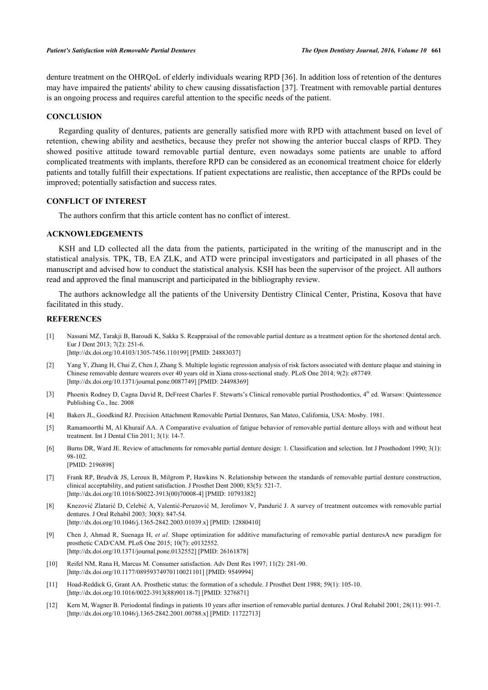denture treatment on the OHRQoL of elderly individuals wearing RPD [\[36](#page-7-1)]. In addition loss of retention of the dentures may have impaired the patients' ability to chew causing dissatisfaction [[37\]](#page-7-2). Treatment with removable partial dentures is an ongoing process and requires careful attention to the specific needs of the patient.

#### **CONCLUSION**

Regarding quality of dentures, patients are generally satisfied more with RPD with attachment based on level of retention, chewing ability and aesthetics, because they prefer not showing the anterior buccal clasps of RPD. They showed positive attitude toward removable partial denture, even nowadays some patients are unable to afford complicated treatments with implants, therefore RPD can be considered as an economical treatment choice for elderly patients and totally fulfill their expectations. If patient expectations are realistic, then acceptance of the RPDs could be improved; potentially satisfaction and success rates.

# **CONFLICT OF INTEREST**

The authors confirm that this article content has no conflict of interest.

#### **ACKNOWLEDGEMENTS**

KSH and LD collected all the data from the patients, participated in the writing of the manuscript and in the statistical analysis. TPK, TB, EA ZLK, and ATD were principal investigators and participated in all phases of the manuscript and advised how to conduct the statistical analysis. KSH has been the supervisor of the project. All authors read and approved the final manuscript and participated in the bibliography review.

The authors acknowledge all the patients of the University Dentistry Clinical Center, Pristina, Kosova that have facilitated in this study.

# **REFERENCES**

- <span id="page-5-0"></span>[1] Nassani MZ, Tarakji B, Baroudi K, Sakka S. Reappraisal of the removable partial denture as a treatment option for the shortened dental arch. Eur J Dent 2013; 7(2): 251-6. [\[http://dx.doi.org/10.4103/1305-7456.110199](http://dx.doi.org/10.4103/1305-7456.110199)] [PMID: [24883037](http://www.ncbi.nlm.nih.gov/pubmed/24883037)]
- <span id="page-5-1"></span>[2] Yang Y, Zhang H, Chai Z, Chen J, Zhang S. Multiple logistic regression analysis of risk factors associated with denture plaque and staining in Chinese removable denture wearers over 40 years old in Xiana cross-sectional study. PLoS One 2014; 9(2): e87749. [\[http://dx.doi.org/10.1371/journal.pone.0087749](http://dx.doi.org/10.1371/journal.pone.0087749)] [PMID: [24498369\]](http://www.ncbi.nlm.nih.gov/pubmed/24498369)
- <span id="page-5-2"></span>[3] Phoenix Rodney D, Cagna David R, DeFreest Charles F. Stewarts's Clinical removable partial Prosthodontics, 4th ed. Warsaw: Quintessence Publishing Co., Inc. 2008
- <span id="page-5-3"></span>[4] Bakers JL, Goodkind RJ. Precision Attachment Removable Partial Dentures, San Mateo, California, USA: Mosby. 1981.
- <span id="page-5-4"></span>[5] Ramamoorthi M, Al Khuraif AA. A Comparative evaluation of fatigue behavior of removable partial denture alloys with and without heat treatment. Int J Dental Clin 2011; 3(1): 14-7.
- <span id="page-5-5"></span>[6] Burns DR, Ward JE. Review of attachments for removable partial denture design: 1. Classification and selection. Int J Prosthodont 1990; 3(1): 98-102. [PMID: [2196898\]](http://www.ncbi.nlm.nih.gov/pubmed/2196898)
- <span id="page-5-6"></span>[7] Frank RP, Brudvik JS, Leroux B, Milgrom P, Hawkins N. Relationship between the standards of removable partial denture construction, clinical acceptability, and patient satisfaction. J Prosthet Dent 2000; 83(5): 521-7. [\[http://dx.doi.org/10.1016/S0022-3913\(00\)70008-4\]](http://dx.doi.org/10.1016/S0022-3913(00)70008-4) [PMID: [10793382](http://www.ncbi.nlm.nih.gov/pubmed/10793382)]
- [8] Knezović Zlatarić D, Celebić A, Valentić-Peruzović M, Jerolimov V, Pandurić J. A survey of treatment outcomes with removable partial dentures. J Oral Rehabil 2003; 30(8): 847-54. [\[http://dx.doi.org/10.1046/j.1365-2842.2003.01039.x\]](http://dx.doi.org/10.1046/j.1365-2842.2003.01039.x) [PMID: [12880410](http://www.ncbi.nlm.nih.gov/pubmed/12880410)]
- <span id="page-5-7"></span>[9] Chen J, Ahmad R, Suenaga H, *et al.* Shape optimization for additive manufacturing of removable partial denturesA new paradigm for prosthetic CAD/CAM. PLoS One 2015; 10(7): e0132552. [\[http://dx.doi.org/10.1371/journal.pone.0132552](http://dx.doi.org/10.1371/journal.pone.0132552)] [PMID: [26161878\]](http://www.ncbi.nlm.nih.gov/pubmed/26161878)
- <span id="page-5-8"></span>[10] Reifel NM, Rana H, Marcus M. Consumer satisfaction. Adv Dent Res 1997; 11(2): 281-90. [\[http://dx.doi.org/10.1177/08959374970110021101\]](http://dx.doi.org/10.1177/08959374970110021101) [PMID: [9549994](http://www.ncbi.nlm.nih.gov/pubmed/9549994)]
- <span id="page-5-9"></span>[11] Hoad-Reddick G, Grant AA. Prosthetic status: the formation of a schedule. J Prosthet Dent 1988; 59(1): 105-10. [\[http://dx.doi.org/10.1016/0022-3913\(88\)90118-7](http://dx.doi.org/10.1016/0022-3913(88)90118-7)] [PMID: [3276871](http://www.ncbi.nlm.nih.gov/pubmed/3276871)]
- <span id="page-5-10"></span>[12] Kern M, Wagner B. Periodontal findings in patients 10 years after insertion of removable partial dentures. J Oral Rehabil 2001; 28(11): 991-7. [\[http://dx.doi.org/10.1046/j.1365-2842.2001.00788.x\]](http://dx.doi.org/10.1046/j.1365-2842.2001.00788.x) [PMID: [11722713](http://www.ncbi.nlm.nih.gov/pubmed/11722713)]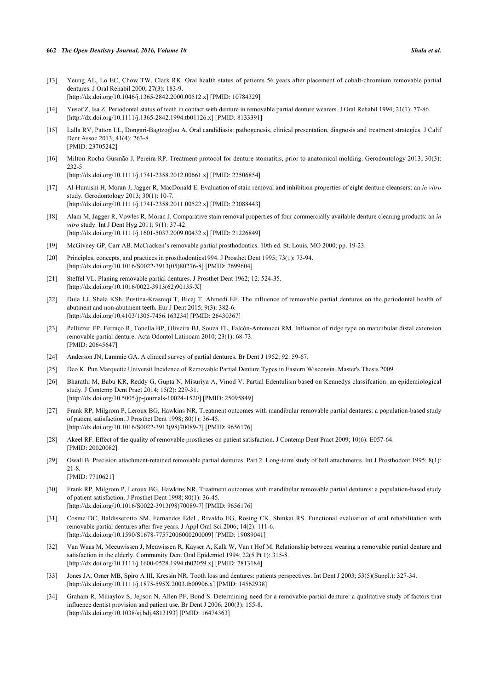- [13] Yeung AL, Lo EC, Chow TW, Clark RK. Oral health status of patients 56 years after placement of cobalt-chromium removable partial dentures. J Oral Rehabil 2000; 27(3): 183-9. [\[http://dx.doi.org/10.1046/j.1365-2842.2000.00512.x\]](http://dx.doi.org/10.1046/j.1365-2842.2000.00512.x) [PMID: [10784329](http://www.ncbi.nlm.nih.gov/pubmed/10784329)]
- [14] Yusof Z, Isa Z. Periodontal status of teeth in contact with denture in removable partial denture wearers. J Oral Rehabil 1994; 21(1): 77-86. [\[http://dx.doi.org/10.1111/j.1365-2842.1994.tb01126.x\]](http://dx.doi.org/10.1111/j.1365-2842.1994.tb01126.x) [PMID: [8133391](http://www.ncbi.nlm.nih.gov/pubmed/8133391)]
- [15] Lalla RV, Patton LL, Dongari-Bagtzoglou A. Oral candidiasis: pathogenesis, clinical presentation, diagnosis and treatment strategies. J Calif Dent Assoc 2013; 41(4): 263-8. [PMID: [23705242\]](http://www.ncbi.nlm.nih.gov/pubmed/23705242)
- <span id="page-6-0"></span>[16] Milton Rocha Gusmão J, Pereira RP. Treatment protocol for denture stomatitis, prior to anatomical molding. Gerodontology 2013; 30(3): 232-5.

[\[http://dx.doi.org/10.1111/j.1741-2358.2012.00661.x\]](http://dx.doi.org/10.1111/j.1741-2358.2012.00661.x) [PMID: [22506854](http://www.ncbi.nlm.nih.gov/pubmed/22506854)]

- <span id="page-6-1"></span>[17] Al-Huraishi H, Moran J, Jagger R, MacDonald E. Evaluation of stain removal and inhibition properties of eight denture cleansers: an *in vitro* study. Gerodontology 2013; 30(1): 10-7. [\[http://dx.doi.org/10.1111/j.1741-2358.2011.00522.x\]](http://dx.doi.org/10.1111/j.1741-2358.2011.00522.x) [PMID: [23088443](http://www.ncbi.nlm.nih.gov/pubmed/23088443)]
- <span id="page-6-2"></span>[18] Alam M, Jagger R, Vowles R, Moran J. Comparative stain removal properties of four commercially available denture cleaning products: an *in vitro* study. Int J Dent Hyg 2011; 9(1): 37-42. [\[http://dx.doi.org/10.1111/j.1601-5037.2009.00432.x\]](http://dx.doi.org/10.1111/j.1601-5037.2009.00432.x) [PMID: [21226849](http://www.ncbi.nlm.nih.gov/pubmed/21226849)]
- <span id="page-6-3"></span>[19] McGivney GP, Carr AB. McCracken's removable partial prosthodontics. 10th ed. St. Louis, MO 2000; pp. 19-23.
- <span id="page-6-4"></span>[20] Principles, concepts, and practices in prosthodontics1994. J Prosthet Dent 1995; 73(1): 73-94. [\[http://dx.doi.org/10.1016/S0022-3913\(05\)80276-8\]](http://dx.doi.org/10.1016/S0022-3913(05)80276-8) [PMID: [7699604](http://www.ncbi.nlm.nih.gov/pubmed/7699604)]
- <span id="page-6-5"></span>[21] Steffel VL. Planing removable partial dentures. J Prosthet Dent 1962; 12: 524-35. [\[http://dx.doi.org/10.1016/0022-3913\(62\)90135-X](http://dx.doi.org/10.1016/0022-3913(62)90135-X)]
- <span id="page-6-6"></span>[22] Dula LJ, Shala KSh, Pustina-Krasniqi T, Bicaj T, Ahmedi EF. The influence of removable partial dentures on the periodontal health of abutment and non-abutment teeth. Eur J Dent 2015; 9(3): 382-6. [\[http://dx.doi.org/10.4103/1305-7456.163234](http://dx.doi.org/10.4103/1305-7456.163234)] [PMID: [26430367](http://www.ncbi.nlm.nih.gov/pubmed/26430367)]
- <span id="page-6-7"></span>[23] Pellizzer EP, Ferraço R, Tonella BP, Oliveira BJ, Souza FL, Falcón-Antenucci RM. Influence of ridge type on mandibular distal extension removable partial denture. Acta Odontol Latinoam 2010; 23(1): 68-73. [PMID: [20645647\]](http://www.ncbi.nlm.nih.gov/pubmed/20645647)
- <span id="page-6-8"></span>[24] Anderson JN, Lammie GA. A clinical survey of partial dentures. Br Dent J 1952; 92: 59-67.
- <span id="page-6-9"></span>[25] Deo K. Pun Marquette Universit Incidence of Removable Partial Denture Types in Eastern Wisconsin. Master's Thesis 2009.
- <span id="page-6-10"></span>[26] Bharathi M, Babu KR, Reddy G, Gupta N, Misuriya A, Vinod V. Partial Edentulism based on Kennedys classifcation: an epidemiological study. J Contemp Dent Pract 2014; 15(2): 229-31. [\[http://dx.doi.org/10.5005/jp-journals-10024-1520\]](http://dx.doi.org/10.5005/jp-journals-10024-1520) [PMID: [25095849](http://www.ncbi.nlm.nih.gov/pubmed/25095849)]
- <span id="page-6-11"></span>[27] Frank RP, Milgrom P, Leroux BG, Hawkins NR. Treatment outcomes with mandibular removable partial dentures: a population-based study of patient satisfaction. J Prosthet Dent 1998; 80(1): 36-45. [\[http://dx.doi.org/10.1016/S0022-3913\(98\)70089-7\]](http://dx.doi.org/10.1016/S0022-3913(98)70089-7) [PMID: [9656176](http://www.ncbi.nlm.nih.gov/pubmed/9656176)]
- <span id="page-6-12"></span>[28] Akeel RF. Effect of the quality of removable prostheses on patient satisfaction. J Contemp Dent Pract 2009; 10(6): E057-64. [PMID: [20020082\]](http://www.ncbi.nlm.nih.gov/pubmed/20020082)
- <span id="page-6-13"></span>[29] Owall B. Precision attachment-retained removable partial dentures: Part 2. Long-term study of ball attachments. Int J Prosthodont 1995; 8(1): 21-8.
	- [PMID: [7710621\]](http://www.ncbi.nlm.nih.gov/pubmed/7710621)
- <span id="page-6-14"></span>[30] Frank RP, Milgrom P, Leroux BG, Hawkins NR. Treatment outcomes with mandibular removable partial dentures: a population-based study of patient satisfaction. J Prosthet Dent 1998; 80(1): 36-45. [\[http://dx.doi.org/10.1016/S0022-3913\(98\)70089-7\]](http://dx.doi.org/10.1016/S0022-3913(98)70089-7) [PMID: [9656176](http://www.ncbi.nlm.nih.gov/pubmed/9656176)]
- <span id="page-6-15"></span>[31] Cosme DC, Baldisserotto SM, Fernandes EdeL, Rivaldo EG, Rosing CK, Shinkai RS. Functional evaluation of oral rehabilitation with removable partial dentures after five years. J Appl Oral Sci 2006; 14(2): 111-6. [\[http://dx.doi.org/10.1590/S1678-77572006000200009\]](http://dx.doi.org/10.1590/S1678-77572006000200009) [PMID: [19089041](http://www.ncbi.nlm.nih.gov/pubmed/19089041)]
- <span id="page-6-16"></span>[32] Van Waas M, Meeuwissen J, Meuwissen R, Käyser A, Kalk W, Van t Hof M. Relationship between wearing a removable partial denture and satisfaction in the elderly. Community Dent Oral Epidemiol 1994; 22(5 Pt 1): 315-8. [\[http://dx.doi.org/10.1111/j.1600-0528.1994.tb02059.x\]](http://dx.doi.org/10.1111/j.1600-0528.1994.tb02059.x) [PMID: [7813184](http://www.ncbi.nlm.nih.gov/pubmed/7813184)]
- <span id="page-6-17"></span>[33] Jones JA, Orner MB, Spiro A III, Kressin NR. Tooth loss and dentures: patients perspectives. Int Dent J 2003; 53(5)(Suppl.): 327-34. [\[http://dx.doi.org/10.1111/j.1875-595X.2003.tb00906.x\]](http://dx.doi.org/10.1111/j.1875-595X.2003.tb00906.x) [PMID: [14562938](http://www.ncbi.nlm.nih.gov/pubmed/14562938)]
- <span id="page-6-18"></span>[34] Graham R, Mihaylov S, Jepson N, Allen PF, Bond S. Determining need for a removable partial denture: a qualitative study of factors that influence dentist provision and patient use. Br Dent J 2006; 200(3): 155-8. [\[http://dx.doi.org/10.1038/sj.bdj.4813193](http://dx.doi.org/10.1038/sj.bdj.4813193)] [PMID: [16474363\]](http://www.ncbi.nlm.nih.gov/pubmed/16474363)